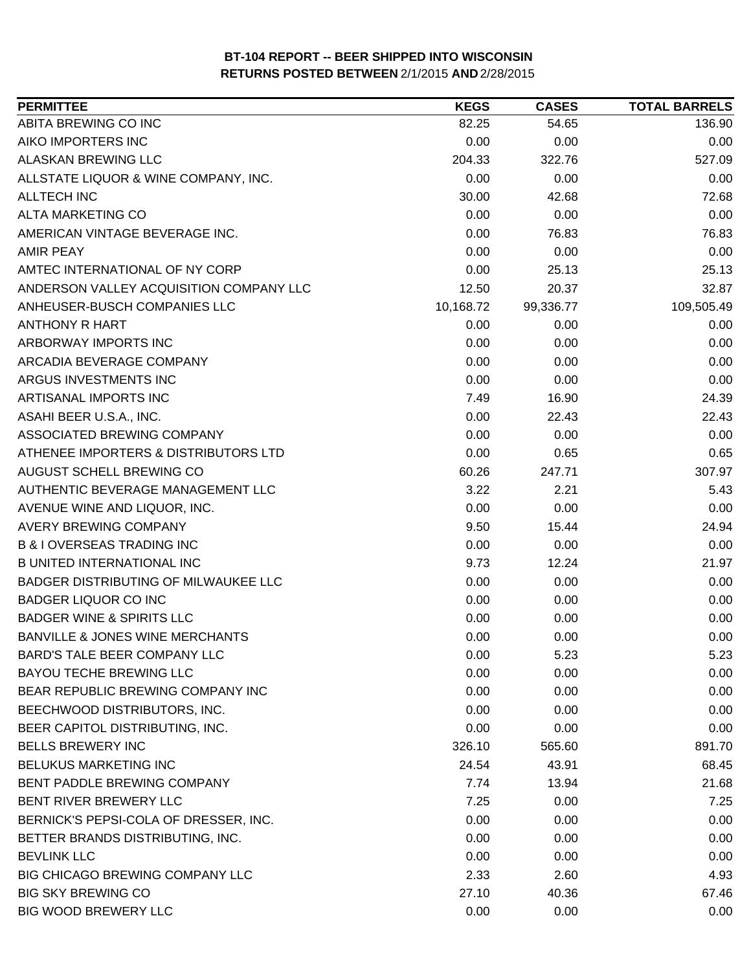| <b>PERMITTEE</b>                           | <b>KEGS</b> | <b>CASES</b> | <b>TOTAL BARRELS</b> |
|--------------------------------------------|-------------|--------------|----------------------|
| ABITA BREWING CO INC                       | 82.25       | 54.65        | 136.90               |
| AIKO IMPORTERS INC                         | 0.00        | 0.00         | 0.00                 |
| ALASKAN BREWING LLC                        | 204.33      | 322.76       | 527.09               |
| ALLSTATE LIQUOR & WINE COMPANY, INC.       | 0.00        | 0.00         | 0.00                 |
| <b>ALLTECH INC</b>                         | 30.00       | 42.68        | 72.68                |
| ALTA MARKETING CO                          | 0.00        | 0.00         | 0.00                 |
| AMERICAN VINTAGE BEVERAGE INC.             | 0.00        | 76.83        | 76.83                |
| <b>AMIR PEAY</b>                           | 0.00        | 0.00         | 0.00                 |
| AMTEC INTERNATIONAL OF NY CORP             | 0.00        | 25.13        | 25.13                |
| ANDERSON VALLEY ACQUISITION COMPANY LLC    | 12.50       | 20.37        | 32.87                |
| ANHEUSER-BUSCH COMPANIES LLC               | 10,168.72   | 99,336.77    | 109,505.49           |
| <b>ANTHONY R HART</b>                      | 0.00        | 0.00         | 0.00                 |
| ARBORWAY IMPORTS INC                       | 0.00        | 0.00         | 0.00                 |
| ARCADIA BEVERAGE COMPANY                   | 0.00        | 0.00         | 0.00                 |
| ARGUS INVESTMENTS INC                      | 0.00        | 0.00         | 0.00                 |
| ARTISANAL IMPORTS INC                      | 7.49        | 16.90        | 24.39                |
| ASAHI BEER U.S.A., INC.                    | 0.00        | 22.43        | 22.43                |
| ASSOCIATED BREWING COMPANY                 | 0.00        | 0.00         | 0.00                 |
| ATHENEE IMPORTERS & DISTRIBUTORS LTD       | 0.00        | 0.65         | 0.65                 |
| AUGUST SCHELL BREWING CO                   | 60.26       | 247.71       | 307.97               |
| AUTHENTIC BEVERAGE MANAGEMENT LLC          | 3.22        | 2.21         | 5.43                 |
| AVENUE WINE AND LIQUOR, INC.               | 0.00        | 0.00         | 0.00                 |
| <b>AVERY BREWING COMPANY</b>               | 9.50        | 15.44        | 24.94                |
| <b>B &amp; I OVERSEAS TRADING INC</b>      | 0.00        | 0.00         | 0.00                 |
| <b>B UNITED INTERNATIONAL INC</b>          | 9.73        | 12.24        | 21.97                |
| BADGER DISTRIBUTING OF MILWAUKEE LLC       | 0.00        | 0.00         | 0.00                 |
| <b>BADGER LIQUOR CO INC</b>                | 0.00        | 0.00         | 0.00                 |
| <b>BADGER WINE &amp; SPIRITS LLC</b>       | 0.00        | 0.00         | 0.00                 |
| <b>BANVILLE &amp; JONES WINE MERCHANTS</b> | 0.00        | 0.00         | 0.00                 |
| <b>BARD'S TALE BEER COMPANY LLC</b>        | 0.00        | 5.23         | 5.23                 |
| <b>BAYOU TECHE BREWING LLC</b>             | 0.00        | 0.00         | 0.00                 |
| BEAR REPUBLIC BREWING COMPANY INC          | 0.00        | 0.00         | 0.00                 |
| BEECHWOOD DISTRIBUTORS, INC.               | 0.00        | 0.00         | 0.00                 |
| BEER CAPITOL DISTRIBUTING, INC.            | 0.00        | 0.00         | 0.00                 |
| <b>BELLS BREWERY INC</b>                   | 326.10      | 565.60       | 891.70               |
| BELUKUS MARKETING INC                      | 24.54       | 43.91        | 68.45                |
| BENT PADDLE BREWING COMPANY                | 7.74        | 13.94        | 21.68                |
| BENT RIVER BREWERY LLC                     | 7.25        | 0.00         | 7.25                 |
| BERNICK'S PEPSI-COLA OF DRESSER, INC.      | 0.00        | 0.00         | 0.00                 |
| BETTER BRANDS DISTRIBUTING, INC.           | 0.00        | 0.00         | 0.00                 |
| <b>BEVLINK LLC</b>                         | 0.00        | 0.00         | 0.00                 |
| BIG CHICAGO BREWING COMPANY LLC            | 2.33        | 2.60         | 4.93                 |
| <b>BIG SKY BREWING CO</b>                  | 27.10       | 40.36        | 67.46                |
| <b>BIG WOOD BREWERY LLC</b>                | 0.00        | 0.00         | 0.00                 |
|                                            |             |              |                      |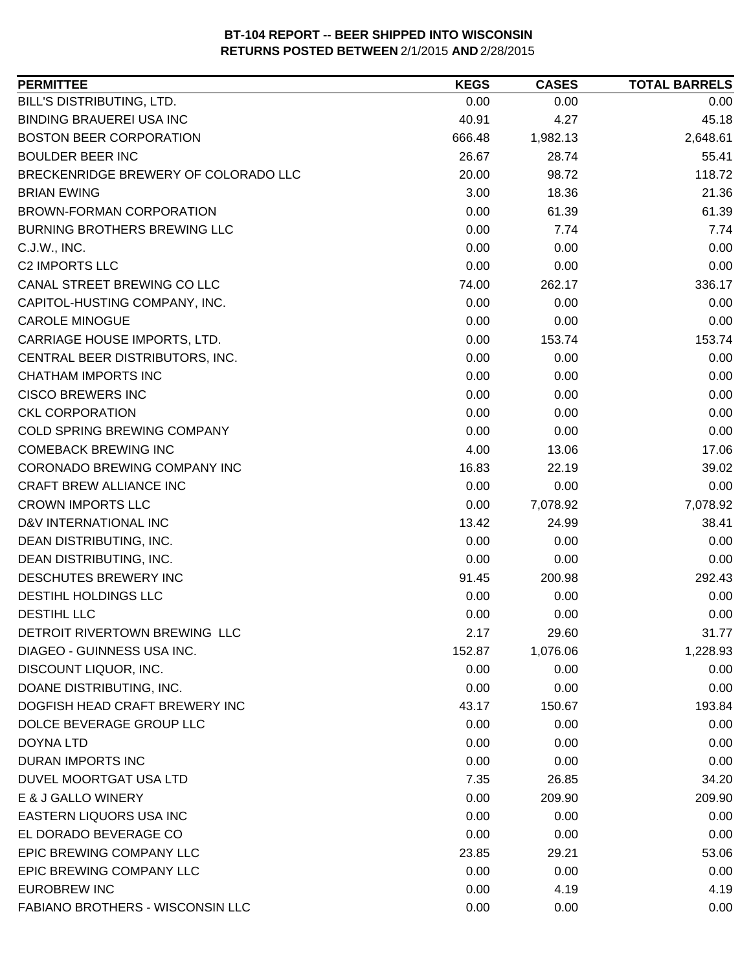| <b>PERMITTEE</b>                        | <b>KEGS</b> | <b>CASES</b> | <b>TOTAL BARRELS</b> |
|-----------------------------------------|-------------|--------------|----------------------|
| BILL'S DISTRIBUTING, LTD.               | 0.00        | 0.00         | 0.00                 |
| <b>BINDING BRAUEREI USA INC</b>         | 40.91       | 4.27         | 45.18                |
| <b>BOSTON BEER CORPORATION</b>          | 666.48      | 1,982.13     | 2,648.61             |
| <b>BOULDER BEER INC</b>                 | 26.67       | 28.74        | 55.41                |
| BRECKENRIDGE BREWERY OF COLORADO LLC    | 20.00       | 98.72        | 118.72               |
| <b>BRIAN EWING</b>                      | 3.00        | 18.36        | 21.36                |
| <b>BROWN-FORMAN CORPORATION</b>         | 0.00        | 61.39        | 61.39                |
| <b>BURNING BROTHERS BREWING LLC</b>     | 0.00        | 7.74         | 7.74                 |
| C.J.W., INC.                            | 0.00        | 0.00         | 0.00                 |
| <b>C2 IMPORTS LLC</b>                   | 0.00        | 0.00         | 0.00                 |
| CANAL STREET BREWING CO LLC             | 74.00       | 262.17       | 336.17               |
| CAPITOL-HUSTING COMPANY, INC.           | 0.00        | 0.00         | 0.00                 |
| <b>CAROLE MINOGUE</b>                   | 0.00        | 0.00         | 0.00                 |
| CARRIAGE HOUSE IMPORTS, LTD.            | 0.00        | 153.74       | 153.74               |
| CENTRAL BEER DISTRIBUTORS, INC.         | 0.00        | 0.00         | 0.00                 |
| <b>CHATHAM IMPORTS INC</b>              | 0.00        | 0.00         | 0.00                 |
| <b>CISCO BREWERS INC</b>                | 0.00        | 0.00         | 0.00                 |
| <b>CKL CORPORATION</b>                  | 0.00        | 0.00         | 0.00                 |
| COLD SPRING BREWING COMPANY             | 0.00        | 0.00         | 0.00                 |
| <b>COMEBACK BREWING INC</b>             | 4.00        | 13.06        | 17.06                |
| CORONADO BREWING COMPANY INC            | 16.83       | 22.19        | 39.02                |
| CRAFT BREW ALLIANCE INC                 | 0.00        | 0.00         | 0.00                 |
| <b>CROWN IMPORTS LLC</b>                | 0.00        | 7,078.92     | 7,078.92             |
| D&V INTERNATIONAL INC                   | 13.42       | 24.99        | 38.41                |
| DEAN DISTRIBUTING, INC.                 | 0.00        | 0.00         | 0.00                 |
| DEAN DISTRIBUTING, INC.                 | 0.00        | 0.00         | 0.00                 |
| DESCHUTES BREWERY INC                   | 91.45       | 200.98       | 292.43               |
| <b>DESTIHL HOLDINGS LLC</b>             | 0.00        | 0.00         | 0.00                 |
| <b>DESTIHL LLC</b>                      | 0.00        | 0.00         | 0.00                 |
| DETROIT RIVERTOWN BREWING LLC           | 2.17        | 29.60        | 31.77                |
| DIAGEO - GUINNESS USA INC.              | 152.87      | 1,076.06     | 1,228.93             |
| DISCOUNT LIQUOR, INC.                   | 0.00        | 0.00         | 0.00                 |
| DOANE DISTRIBUTING, INC.                | 0.00        | 0.00         | 0.00                 |
| DOGFISH HEAD CRAFT BREWERY INC          | 43.17       | 150.67       | 193.84               |
| DOLCE BEVERAGE GROUP LLC                | 0.00        | 0.00         | 0.00                 |
| <b>DOYNA LTD</b>                        | 0.00        | 0.00         | 0.00                 |
| <b>DURAN IMPORTS INC</b>                | 0.00        | 0.00         | 0.00                 |
| DUVEL MOORTGAT USA LTD                  | 7.35        | 26.85        | 34.20                |
| E & J GALLO WINERY                      | 0.00        | 209.90       | 209.90               |
| EASTERN LIQUORS USA INC                 | 0.00        | 0.00         | 0.00                 |
| EL DORADO BEVERAGE CO                   | 0.00        | 0.00         | 0.00                 |
| EPIC BREWING COMPANY LLC                | 23.85       | 29.21        | 53.06                |
| EPIC BREWING COMPANY LLC                | 0.00        | 0.00         | 0.00                 |
| <b>EUROBREW INC</b>                     | 0.00        | 4.19         | 4.19                 |
| <b>FABIANO BROTHERS - WISCONSIN LLC</b> | 0.00        | 0.00         | 0.00                 |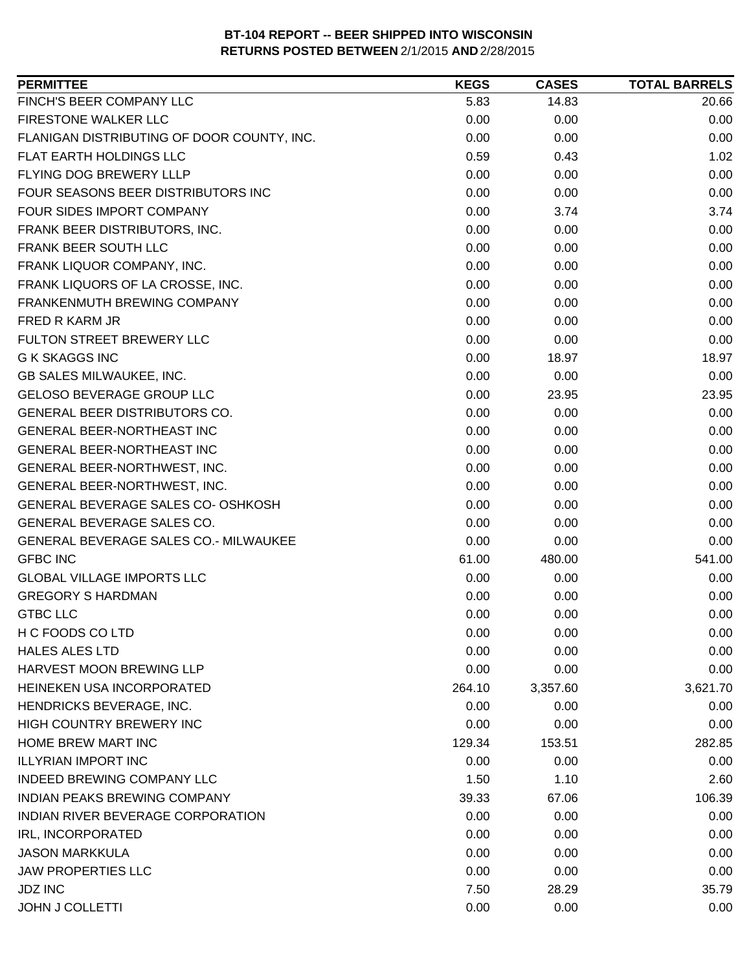| FINCH'S BEER COMPANY LLC<br>5.83<br>14.83<br>20.66<br>FIRESTONE WALKER LLC<br>0.00<br>0.00<br>0.00<br>FLANIGAN DISTRIBUTING OF DOOR COUNTY, INC.<br>0.00<br>0.00<br>0.00<br><b>FLAT EARTH HOLDINGS LLC</b><br>0.59<br>1.02<br>0.43<br>FLYING DOG BREWERY LLLP<br>0.00<br>0.00<br>0.00<br>FOUR SEASONS BEER DISTRIBUTORS INC<br>0.00<br>0.00<br>0.00<br>FOUR SIDES IMPORT COMPANY<br>0.00<br>3.74<br>3.74<br>FRANK BEER DISTRIBUTORS, INC.<br>0.00<br>0.00<br>0.00<br>FRANK BEER SOUTH LLC<br>0.00<br>0.00<br>0.00<br>FRANK LIQUOR COMPANY, INC.<br>0.00<br>0.00<br>0.00<br>FRANK LIQUORS OF LA CROSSE, INC.<br>0.00<br>0.00<br>0.00<br>0.00<br>0.00<br>FRANKENMUTH BREWING COMPANY<br>0.00<br>0.00<br>0.00<br><b>FRED R KARM JR</b><br>0.00<br>FULTON STREET BREWERY LLC<br>0.00<br>0.00<br>0.00<br><b>G K SKAGGS INC</b><br>0.00<br>18.97<br>18.97<br>GB SALES MILWAUKEE, INC.<br>0.00<br>0.00<br>0.00<br><b>GELOSO BEVERAGE GROUP LLC</b><br>0.00<br>23.95<br>23.95<br><b>GENERAL BEER DISTRIBUTORS CO.</b><br>0.00<br>0.00<br>0.00<br>GENERAL BEER-NORTHEAST INC<br>0.00<br>0.00<br>0.00<br><b>GENERAL BEER-NORTHEAST INC</b><br>0.00<br>0.00<br>0.00<br>0.00<br>0.00<br>0.00<br>GENERAL BEER-NORTHWEST, INC.<br>GENERAL BEER-NORTHWEST, INC.<br>0.00<br>0.00<br>0.00<br>GENERAL BEVERAGE SALES CO- OSHKOSH<br>0.00<br>0.00<br>0.00<br>GENERAL BEVERAGE SALES CO.<br>0.00<br>0.00<br>0.00<br>GENERAL BEVERAGE SALES CO.- MILWAUKEE<br>0.00<br>0.00<br>0.00<br><b>GFBC INC</b><br>61.00<br>480.00<br>541.00<br><b>GLOBAL VILLAGE IMPORTS LLC</b><br>0.00<br>0.00<br>0.00<br><b>GREGORY S HARDMAN</b><br>0.00<br>0.00<br>0.00<br><b>GTBC LLC</b><br>0.00<br>0.00<br>0.00 |
|---------------------------------------------------------------------------------------------------------------------------------------------------------------------------------------------------------------------------------------------------------------------------------------------------------------------------------------------------------------------------------------------------------------------------------------------------------------------------------------------------------------------------------------------------------------------------------------------------------------------------------------------------------------------------------------------------------------------------------------------------------------------------------------------------------------------------------------------------------------------------------------------------------------------------------------------------------------------------------------------------------------------------------------------------------------------------------------------------------------------------------------------------------------------------------------------------------------------------------------------------------------------------------------------------------------------------------------------------------------------------------------------------------------------------------------------------------------------------------------------------------------------------------------------------------------------------------------------------------------------------------------------------------------------------|
|                                                                                                                                                                                                                                                                                                                                                                                                                                                                                                                                                                                                                                                                                                                                                                                                                                                                                                                                                                                                                                                                                                                                                                                                                                                                                                                                                                                                                                                                                                                                                                                                                                                                           |
|                                                                                                                                                                                                                                                                                                                                                                                                                                                                                                                                                                                                                                                                                                                                                                                                                                                                                                                                                                                                                                                                                                                                                                                                                                                                                                                                                                                                                                                                                                                                                                                                                                                                           |
|                                                                                                                                                                                                                                                                                                                                                                                                                                                                                                                                                                                                                                                                                                                                                                                                                                                                                                                                                                                                                                                                                                                                                                                                                                                                                                                                                                                                                                                                                                                                                                                                                                                                           |
|                                                                                                                                                                                                                                                                                                                                                                                                                                                                                                                                                                                                                                                                                                                                                                                                                                                                                                                                                                                                                                                                                                                                                                                                                                                                                                                                                                                                                                                                                                                                                                                                                                                                           |
|                                                                                                                                                                                                                                                                                                                                                                                                                                                                                                                                                                                                                                                                                                                                                                                                                                                                                                                                                                                                                                                                                                                                                                                                                                                                                                                                                                                                                                                                                                                                                                                                                                                                           |
|                                                                                                                                                                                                                                                                                                                                                                                                                                                                                                                                                                                                                                                                                                                                                                                                                                                                                                                                                                                                                                                                                                                                                                                                                                                                                                                                                                                                                                                                                                                                                                                                                                                                           |
|                                                                                                                                                                                                                                                                                                                                                                                                                                                                                                                                                                                                                                                                                                                                                                                                                                                                                                                                                                                                                                                                                                                                                                                                                                                                                                                                                                                                                                                                                                                                                                                                                                                                           |
|                                                                                                                                                                                                                                                                                                                                                                                                                                                                                                                                                                                                                                                                                                                                                                                                                                                                                                                                                                                                                                                                                                                                                                                                                                                                                                                                                                                                                                                                                                                                                                                                                                                                           |
|                                                                                                                                                                                                                                                                                                                                                                                                                                                                                                                                                                                                                                                                                                                                                                                                                                                                                                                                                                                                                                                                                                                                                                                                                                                                                                                                                                                                                                                                                                                                                                                                                                                                           |
|                                                                                                                                                                                                                                                                                                                                                                                                                                                                                                                                                                                                                                                                                                                                                                                                                                                                                                                                                                                                                                                                                                                                                                                                                                                                                                                                                                                                                                                                                                                                                                                                                                                                           |
|                                                                                                                                                                                                                                                                                                                                                                                                                                                                                                                                                                                                                                                                                                                                                                                                                                                                                                                                                                                                                                                                                                                                                                                                                                                                                                                                                                                                                                                                                                                                                                                                                                                                           |
|                                                                                                                                                                                                                                                                                                                                                                                                                                                                                                                                                                                                                                                                                                                                                                                                                                                                                                                                                                                                                                                                                                                                                                                                                                                                                                                                                                                                                                                                                                                                                                                                                                                                           |
|                                                                                                                                                                                                                                                                                                                                                                                                                                                                                                                                                                                                                                                                                                                                                                                                                                                                                                                                                                                                                                                                                                                                                                                                                                                                                                                                                                                                                                                                                                                                                                                                                                                                           |
|                                                                                                                                                                                                                                                                                                                                                                                                                                                                                                                                                                                                                                                                                                                                                                                                                                                                                                                                                                                                                                                                                                                                                                                                                                                                                                                                                                                                                                                                                                                                                                                                                                                                           |
|                                                                                                                                                                                                                                                                                                                                                                                                                                                                                                                                                                                                                                                                                                                                                                                                                                                                                                                                                                                                                                                                                                                                                                                                                                                                                                                                                                                                                                                                                                                                                                                                                                                                           |
|                                                                                                                                                                                                                                                                                                                                                                                                                                                                                                                                                                                                                                                                                                                                                                                                                                                                                                                                                                                                                                                                                                                                                                                                                                                                                                                                                                                                                                                                                                                                                                                                                                                                           |
|                                                                                                                                                                                                                                                                                                                                                                                                                                                                                                                                                                                                                                                                                                                                                                                                                                                                                                                                                                                                                                                                                                                                                                                                                                                                                                                                                                                                                                                                                                                                                                                                                                                                           |
|                                                                                                                                                                                                                                                                                                                                                                                                                                                                                                                                                                                                                                                                                                                                                                                                                                                                                                                                                                                                                                                                                                                                                                                                                                                                                                                                                                                                                                                                                                                                                                                                                                                                           |
|                                                                                                                                                                                                                                                                                                                                                                                                                                                                                                                                                                                                                                                                                                                                                                                                                                                                                                                                                                                                                                                                                                                                                                                                                                                                                                                                                                                                                                                                                                                                                                                                                                                                           |
|                                                                                                                                                                                                                                                                                                                                                                                                                                                                                                                                                                                                                                                                                                                                                                                                                                                                                                                                                                                                                                                                                                                                                                                                                                                                                                                                                                                                                                                                                                                                                                                                                                                                           |
|                                                                                                                                                                                                                                                                                                                                                                                                                                                                                                                                                                                                                                                                                                                                                                                                                                                                                                                                                                                                                                                                                                                                                                                                                                                                                                                                                                                                                                                                                                                                                                                                                                                                           |
|                                                                                                                                                                                                                                                                                                                                                                                                                                                                                                                                                                                                                                                                                                                                                                                                                                                                                                                                                                                                                                                                                                                                                                                                                                                                                                                                                                                                                                                                                                                                                                                                                                                                           |
|                                                                                                                                                                                                                                                                                                                                                                                                                                                                                                                                                                                                                                                                                                                                                                                                                                                                                                                                                                                                                                                                                                                                                                                                                                                                                                                                                                                                                                                                                                                                                                                                                                                                           |
|                                                                                                                                                                                                                                                                                                                                                                                                                                                                                                                                                                                                                                                                                                                                                                                                                                                                                                                                                                                                                                                                                                                                                                                                                                                                                                                                                                                                                                                                                                                                                                                                                                                                           |
|                                                                                                                                                                                                                                                                                                                                                                                                                                                                                                                                                                                                                                                                                                                                                                                                                                                                                                                                                                                                                                                                                                                                                                                                                                                                                                                                                                                                                                                                                                                                                                                                                                                                           |
|                                                                                                                                                                                                                                                                                                                                                                                                                                                                                                                                                                                                                                                                                                                                                                                                                                                                                                                                                                                                                                                                                                                                                                                                                                                                                                                                                                                                                                                                                                                                                                                                                                                                           |
|                                                                                                                                                                                                                                                                                                                                                                                                                                                                                                                                                                                                                                                                                                                                                                                                                                                                                                                                                                                                                                                                                                                                                                                                                                                                                                                                                                                                                                                                                                                                                                                                                                                                           |
|                                                                                                                                                                                                                                                                                                                                                                                                                                                                                                                                                                                                                                                                                                                                                                                                                                                                                                                                                                                                                                                                                                                                                                                                                                                                                                                                                                                                                                                                                                                                                                                                                                                                           |
|                                                                                                                                                                                                                                                                                                                                                                                                                                                                                                                                                                                                                                                                                                                                                                                                                                                                                                                                                                                                                                                                                                                                                                                                                                                                                                                                                                                                                                                                                                                                                                                                                                                                           |
| H C FOODS CO LTD<br>0.00<br>0.00<br>0.00                                                                                                                                                                                                                                                                                                                                                                                                                                                                                                                                                                                                                                                                                                                                                                                                                                                                                                                                                                                                                                                                                                                                                                                                                                                                                                                                                                                                                                                                                                                                                                                                                                  |
| <b>HALES ALES LTD</b><br>0.00<br>0.00<br>0.00                                                                                                                                                                                                                                                                                                                                                                                                                                                                                                                                                                                                                                                                                                                                                                                                                                                                                                                                                                                                                                                                                                                                                                                                                                                                                                                                                                                                                                                                                                                                                                                                                             |
| <b>HARVEST MOON BREWING LLP</b><br>0.00<br>0.00<br>0.00                                                                                                                                                                                                                                                                                                                                                                                                                                                                                                                                                                                                                                                                                                                                                                                                                                                                                                                                                                                                                                                                                                                                                                                                                                                                                                                                                                                                                                                                                                                                                                                                                   |
| HEINEKEN USA INCORPORATED<br>264.10<br>3,357.60<br>3,621.70                                                                                                                                                                                                                                                                                                                                                                                                                                                                                                                                                                                                                                                                                                                                                                                                                                                                                                                                                                                                                                                                                                                                                                                                                                                                                                                                                                                                                                                                                                                                                                                                               |
| HENDRICKS BEVERAGE, INC.<br>0.00<br>0.00<br>0.00                                                                                                                                                                                                                                                                                                                                                                                                                                                                                                                                                                                                                                                                                                                                                                                                                                                                                                                                                                                                                                                                                                                                                                                                                                                                                                                                                                                                                                                                                                                                                                                                                          |
| <b>HIGH COUNTRY BREWERY INC</b><br>0.00<br>0.00<br>0.00                                                                                                                                                                                                                                                                                                                                                                                                                                                                                                                                                                                                                                                                                                                                                                                                                                                                                                                                                                                                                                                                                                                                                                                                                                                                                                                                                                                                                                                                                                                                                                                                                   |
| HOME BREW MART INC<br>282.85<br>129.34<br>153.51                                                                                                                                                                                                                                                                                                                                                                                                                                                                                                                                                                                                                                                                                                                                                                                                                                                                                                                                                                                                                                                                                                                                                                                                                                                                                                                                                                                                                                                                                                                                                                                                                          |
| <b>ILLYRIAN IMPORT INC</b><br>0.00<br>0.00<br>0.00                                                                                                                                                                                                                                                                                                                                                                                                                                                                                                                                                                                                                                                                                                                                                                                                                                                                                                                                                                                                                                                                                                                                                                                                                                                                                                                                                                                                                                                                                                                                                                                                                        |
| INDEED BREWING COMPANY LLC<br>1.50<br>1.10<br>2.60                                                                                                                                                                                                                                                                                                                                                                                                                                                                                                                                                                                                                                                                                                                                                                                                                                                                                                                                                                                                                                                                                                                                                                                                                                                                                                                                                                                                                                                                                                                                                                                                                        |
| 106.39<br><b>INDIAN PEAKS BREWING COMPANY</b><br>39.33<br>67.06                                                                                                                                                                                                                                                                                                                                                                                                                                                                                                                                                                                                                                                                                                                                                                                                                                                                                                                                                                                                                                                                                                                                                                                                                                                                                                                                                                                                                                                                                                                                                                                                           |
| INDIAN RIVER BEVERAGE CORPORATION<br>0.00<br>0.00<br>0.00                                                                                                                                                                                                                                                                                                                                                                                                                                                                                                                                                                                                                                                                                                                                                                                                                                                                                                                                                                                                                                                                                                                                                                                                                                                                                                                                                                                                                                                                                                                                                                                                                 |
| IRL, INCORPORATED<br>0.00<br>0.00<br>0.00                                                                                                                                                                                                                                                                                                                                                                                                                                                                                                                                                                                                                                                                                                                                                                                                                                                                                                                                                                                                                                                                                                                                                                                                                                                                                                                                                                                                                                                                                                                                                                                                                                 |
| <b>JASON MARKKULA</b><br>0.00<br>0.00<br>0.00                                                                                                                                                                                                                                                                                                                                                                                                                                                                                                                                                                                                                                                                                                                                                                                                                                                                                                                                                                                                                                                                                                                                                                                                                                                                                                                                                                                                                                                                                                                                                                                                                             |
| <b>JAW PROPERTIES LLC</b><br>0.00<br>0.00<br>0.00                                                                                                                                                                                                                                                                                                                                                                                                                                                                                                                                                                                                                                                                                                                                                                                                                                                                                                                                                                                                                                                                                                                                                                                                                                                                                                                                                                                                                                                                                                                                                                                                                         |
| <b>JDZ INC</b><br>7.50<br>28.29<br>35.79                                                                                                                                                                                                                                                                                                                                                                                                                                                                                                                                                                                                                                                                                                                                                                                                                                                                                                                                                                                                                                                                                                                                                                                                                                                                                                                                                                                                                                                                                                                                                                                                                                  |
| <b>JOHN J COLLETTI</b><br>0.00<br>0.00<br>0.00                                                                                                                                                                                                                                                                                                                                                                                                                                                                                                                                                                                                                                                                                                                                                                                                                                                                                                                                                                                                                                                                                                                                                                                                                                                                                                                                                                                                                                                                                                                                                                                                                            |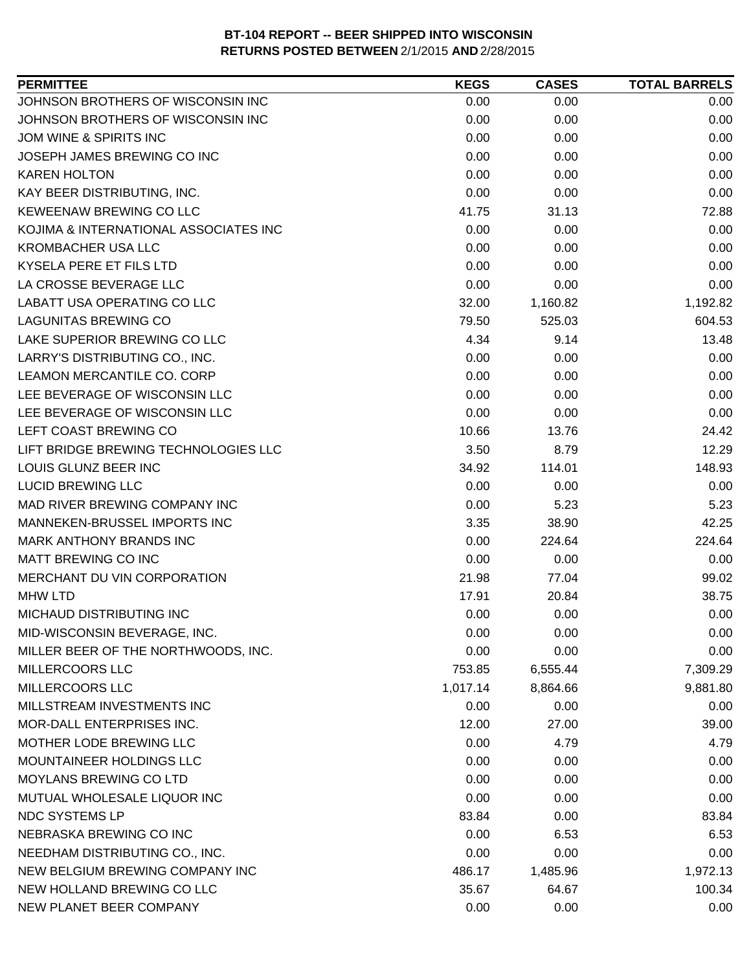| <b>PERMITTEE</b>                      | <b>KEGS</b> | <b>CASES</b> | <b>TOTAL BARRELS</b> |
|---------------------------------------|-------------|--------------|----------------------|
| JOHNSON BROTHERS OF WISCONSIN INC     | 0.00        | 0.00         | 0.00                 |
| JOHNSON BROTHERS OF WISCONSIN INC     | 0.00        | 0.00         | 0.00                 |
| JOM WINE & SPIRITS INC                | 0.00        | 0.00         | 0.00                 |
| JOSEPH JAMES BREWING CO INC           | 0.00        | 0.00         | 0.00                 |
| <b>KAREN HOLTON</b>                   | 0.00        | 0.00         | 0.00                 |
| KAY BEER DISTRIBUTING, INC.           | 0.00        | 0.00         | 0.00                 |
| KEWEENAW BREWING CO LLC               | 41.75       | 31.13        | 72.88                |
| KOJIMA & INTERNATIONAL ASSOCIATES INC | 0.00        | 0.00         | 0.00                 |
| <b>KROMBACHER USA LLC</b>             | 0.00        | 0.00         | 0.00                 |
| KYSELA PERE ET FILS LTD               | 0.00        | 0.00         | 0.00                 |
| LA CROSSE BEVERAGE LLC                | 0.00        | 0.00         | 0.00                 |
| LABATT USA OPERATING CO LLC           | 32.00       | 1,160.82     | 1,192.82             |
| <b>LAGUNITAS BREWING CO</b>           | 79.50       | 525.03       | 604.53               |
| LAKE SUPERIOR BREWING CO LLC          | 4.34        | 9.14         | 13.48                |
| LARRY'S DISTRIBUTING CO., INC.        | 0.00        | 0.00         | 0.00                 |
| LEAMON MERCANTILE CO. CORP            | 0.00        | 0.00         | 0.00                 |
| LEE BEVERAGE OF WISCONSIN LLC         | 0.00        | 0.00         | 0.00                 |
| LEE BEVERAGE OF WISCONSIN LLC         | 0.00        | 0.00         | 0.00                 |
| LEFT COAST BREWING CO                 | 10.66       | 13.76        | 24.42                |
| LIFT BRIDGE BREWING TECHNOLOGIES LLC  | 3.50        | 8.79         | 12.29                |
| LOUIS GLUNZ BEER INC                  | 34.92       | 114.01       | 148.93               |
| <b>LUCID BREWING LLC</b>              | 0.00        | 0.00         | 0.00                 |
| MAD RIVER BREWING COMPANY INC         | 0.00        | 5.23         | 5.23                 |
| MANNEKEN-BRUSSEL IMPORTS INC          | 3.35        | 38.90        | 42.25                |
| <b>MARK ANTHONY BRANDS INC</b>        | 0.00        | 224.64       | 224.64               |
| MATT BREWING CO INC                   | 0.00        | 0.00         | 0.00                 |
| MERCHANT DU VIN CORPORATION           | 21.98       | 77.04        | 99.02                |
| <b>MHW LTD</b>                        | 17.91       | 20.84        | 38.75                |
| <b>MICHAUD DISTRIBUTING INC</b>       | 0.00        | 0.00         | 0.00                 |
| MID-WISCONSIN BEVERAGE, INC.          | 0.00        | 0.00         | 0.00                 |
| MILLER BEER OF THE NORTHWOODS, INC.   | 0.00        | 0.00         | 0.00                 |
| <b>MILLERCOORS LLC</b>                | 753.85      | 6,555.44     | 7,309.29             |
| MILLERCOORS LLC                       | 1,017.14    | 8,864.66     | 9,881.80             |
| MILLSTREAM INVESTMENTS INC            | 0.00        | 0.00         | 0.00                 |
| MOR-DALL ENTERPRISES INC.             | 12.00       | 27.00        | 39.00                |
| MOTHER LODE BREWING LLC               | 0.00        | 4.79         | 4.79                 |
| MOUNTAINEER HOLDINGS LLC              | 0.00        | 0.00         | 0.00                 |
| <b>MOYLANS BREWING CO LTD</b>         | 0.00        | 0.00         | 0.00                 |
| MUTUAL WHOLESALE LIQUOR INC           | 0.00        | 0.00         | 0.00                 |
| <b>NDC SYSTEMS LP</b>                 | 83.84       | 0.00         | 83.84                |
| NEBRASKA BREWING CO INC               | 0.00        | 6.53         | 6.53                 |
| NEEDHAM DISTRIBUTING CO., INC.        | 0.00        | 0.00         | 0.00                 |
| NEW BELGIUM BREWING COMPANY INC       | 486.17      | 1,485.96     | 1,972.13             |
| NEW HOLLAND BREWING CO LLC            | 35.67       | 64.67        | 100.34               |
| NEW PLANET BEER COMPANY               | 0.00        | 0.00         | 0.00                 |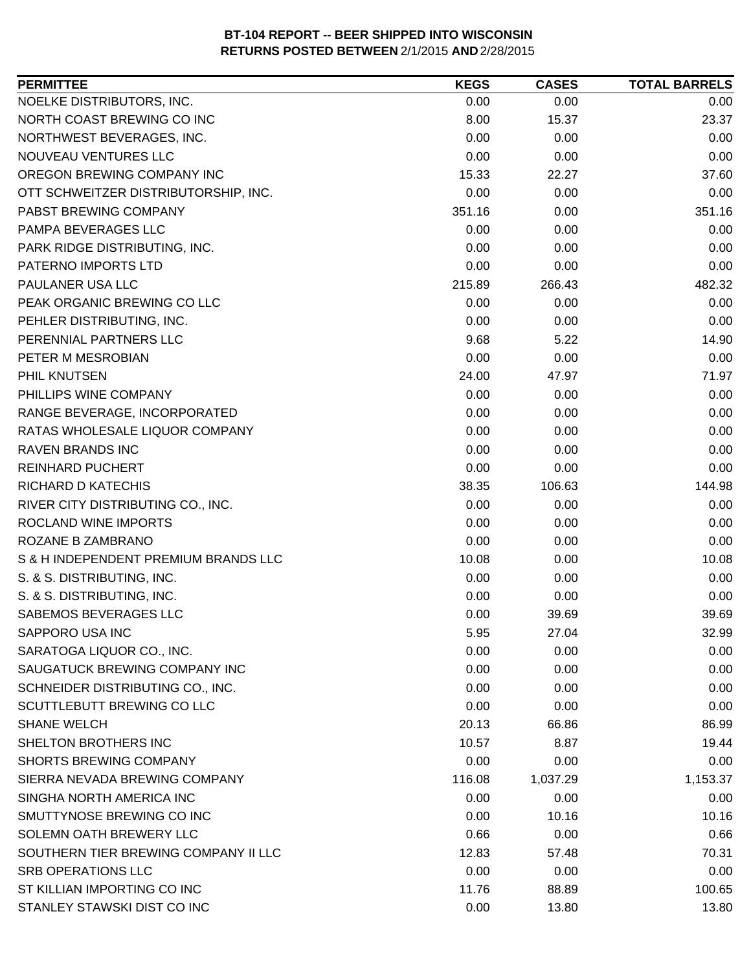| NOELKE DISTRIBUTORS, INC.<br>0.00<br>0.00<br>0.00<br>NORTH COAST BREWING CO INC<br>8.00<br>23.37<br>15.37<br>0.00<br>NORTHWEST BEVERAGES, INC.<br>0.00<br>0.00<br>0.00<br>NOUVEAU VENTURES LLC<br>0.00<br>0.00<br>15.33<br>22.27<br>37.60<br>OTT SCHWEITZER DISTRIBUTORSHIP, INC.<br>0.00<br>0.00<br>0.00<br>PABST BREWING COMPANY<br>351.16<br>351.16<br>0.00<br>PAMPA BEVERAGES LLC<br>0.00<br>0.00<br>0.00<br>0.00<br>PARK RIDGE DISTRIBUTING, INC.<br>0.00<br>0.00<br>PATERNO IMPORTS LTD<br>0.00<br>0.00<br>0.00<br>266.43<br>482.32<br>PAULANER USA LLC<br>215.89<br>0.00<br>0.00<br>0.00<br>PEHLER DISTRIBUTING, INC.<br>0.00<br>0.00<br>0.00<br>9.68<br>5.22<br>14.90<br>PETER M MESROBIAN<br>0.00<br>0.00<br>0.00<br>71.97<br>24.00<br>47.97<br>0.00<br>0.00<br>0.00<br>RANGE BEVERAGE, INCORPORATED<br>0.00<br>0.00<br>0.00<br>RATAS WHOLESALE LIQUOR COMPANY<br>0.00<br>0.00<br>0.00<br><b>RAVEN BRANDS INC</b><br>0.00<br>0.00<br>0.00<br>0.00<br>0.00<br>0.00<br><b>REINHARD PUCHERT</b><br>38.35<br>106.63<br>144.98<br>RIVER CITY DISTRIBUTING CO., INC.<br>0.00<br>0.00<br>0.00<br>ROCLAND WINE IMPORTS<br>0.00<br>0.00<br>0.00<br>0.00<br>0.00<br>0.00<br>S & H INDEPENDENT PREMIUM BRANDS LLC<br>10.08<br>0.00<br>10.08<br>S. & S. DISTRIBUTING, INC.<br>0.00<br>0.00<br>0.00<br>S. & S. DISTRIBUTING, INC.<br>0.00<br>0.00<br>0.00<br>0.00<br>39.69<br>SABEMOS BEVERAGES LLC<br>39.69<br>SAPPORO USA INC<br>5.95<br>27.04<br>32.99<br>0.00<br>0.00<br>0.00<br>SARATOGA LIQUOR CO., INC.<br>SAUGATUCK BREWING COMPANY INC<br>0.00<br>0.00<br>0.00<br>SCHNEIDER DISTRIBUTING CO., INC.<br>0.00<br>0.00<br>0.00<br>SCUTTLEBUTT BREWING CO LLC<br>0.00<br>0.00<br>0.00<br><b>SHANE WELCH</b><br>20.13<br>66.86<br>86.99<br>SHELTON BROTHERS INC<br>10.57<br>8.87<br>19.44<br><b>SHORTS BREWING COMPANY</b><br>0.00<br>0.00<br>0.00<br>SIERRA NEVADA BREWING COMPANY<br>116.08<br>1,037.29<br>1,153.37<br>SINGHA NORTH AMERICA INC<br>0.00<br>0.00<br>0.00<br>SMUTTYNOSE BREWING CO INC<br>10.16<br>10.16<br>0.00<br>SOLEMN OATH BREWERY LLC<br>0.66<br>0.00<br>0.66<br>SOUTHERN TIER BREWING COMPANY II LLC<br>12.83<br>70.31<br>57.48<br>0.00<br><b>SRB OPERATIONS LLC</b><br>0.00<br>0.00<br>ST KILLIAN IMPORTING CO INC<br>11.76<br>88.89<br>100.65 | <b>PERMITTEE</b>            | <b>KEGS</b> | <b>CASES</b> | <b>TOTAL BARRELS</b> |
|-----------------------------------------------------------------------------------------------------------------------------------------------------------------------------------------------------------------------------------------------------------------------------------------------------------------------------------------------------------------------------------------------------------------------------------------------------------------------------------------------------------------------------------------------------------------------------------------------------------------------------------------------------------------------------------------------------------------------------------------------------------------------------------------------------------------------------------------------------------------------------------------------------------------------------------------------------------------------------------------------------------------------------------------------------------------------------------------------------------------------------------------------------------------------------------------------------------------------------------------------------------------------------------------------------------------------------------------------------------------------------------------------------------------------------------------------------------------------------------------------------------------------------------------------------------------------------------------------------------------------------------------------------------------------------------------------------------------------------------------------------------------------------------------------------------------------------------------------------------------------------------------------------------------------------------------------------------------------------------------------------------------------------------------------------------------------------------------------------------------------------------------------------------------------------------------------------------------------------------------------------------------------|-----------------------------|-------------|--------------|----------------------|
|                                                                                                                                                                                                                                                                                                                                                                                                                                                                                                                                                                                                                                                                                                                                                                                                                                                                                                                                                                                                                                                                                                                                                                                                                                                                                                                                                                                                                                                                                                                                                                                                                                                                                                                                                                                                                                                                                                                                                                                                                                                                                                                                                                                                                                                                       |                             |             |              |                      |
|                                                                                                                                                                                                                                                                                                                                                                                                                                                                                                                                                                                                                                                                                                                                                                                                                                                                                                                                                                                                                                                                                                                                                                                                                                                                                                                                                                                                                                                                                                                                                                                                                                                                                                                                                                                                                                                                                                                                                                                                                                                                                                                                                                                                                                                                       |                             |             |              |                      |
|                                                                                                                                                                                                                                                                                                                                                                                                                                                                                                                                                                                                                                                                                                                                                                                                                                                                                                                                                                                                                                                                                                                                                                                                                                                                                                                                                                                                                                                                                                                                                                                                                                                                                                                                                                                                                                                                                                                                                                                                                                                                                                                                                                                                                                                                       |                             |             |              |                      |
|                                                                                                                                                                                                                                                                                                                                                                                                                                                                                                                                                                                                                                                                                                                                                                                                                                                                                                                                                                                                                                                                                                                                                                                                                                                                                                                                                                                                                                                                                                                                                                                                                                                                                                                                                                                                                                                                                                                                                                                                                                                                                                                                                                                                                                                                       |                             |             |              |                      |
|                                                                                                                                                                                                                                                                                                                                                                                                                                                                                                                                                                                                                                                                                                                                                                                                                                                                                                                                                                                                                                                                                                                                                                                                                                                                                                                                                                                                                                                                                                                                                                                                                                                                                                                                                                                                                                                                                                                                                                                                                                                                                                                                                                                                                                                                       | OREGON BREWING COMPANY INC  |             |              |                      |
|                                                                                                                                                                                                                                                                                                                                                                                                                                                                                                                                                                                                                                                                                                                                                                                                                                                                                                                                                                                                                                                                                                                                                                                                                                                                                                                                                                                                                                                                                                                                                                                                                                                                                                                                                                                                                                                                                                                                                                                                                                                                                                                                                                                                                                                                       |                             |             |              |                      |
|                                                                                                                                                                                                                                                                                                                                                                                                                                                                                                                                                                                                                                                                                                                                                                                                                                                                                                                                                                                                                                                                                                                                                                                                                                                                                                                                                                                                                                                                                                                                                                                                                                                                                                                                                                                                                                                                                                                                                                                                                                                                                                                                                                                                                                                                       |                             |             |              |                      |
|                                                                                                                                                                                                                                                                                                                                                                                                                                                                                                                                                                                                                                                                                                                                                                                                                                                                                                                                                                                                                                                                                                                                                                                                                                                                                                                                                                                                                                                                                                                                                                                                                                                                                                                                                                                                                                                                                                                                                                                                                                                                                                                                                                                                                                                                       |                             |             |              |                      |
|                                                                                                                                                                                                                                                                                                                                                                                                                                                                                                                                                                                                                                                                                                                                                                                                                                                                                                                                                                                                                                                                                                                                                                                                                                                                                                                                                                                                                                                                                                                                                                                                                                                                                                                                                                                                                                                                                                                                                                                                                                                                                                                                                                                                                                                                       |                             |             |              |                      |
|                                                                                                                                                                                                                                                                                                                                                                                                                                                                                                                                                                                                                                                                                                                                                                                                                                                                                                                                                                                                                                                                                                                                                                                                                                                                                                                                                                                                                                                                                                                                                                                                                                                                                                                                                                                                                                                                                                                                                                                                                                                                                                                                                                                                                                                                       |                             |             |              |                      |
|                                                                                                                                                                                                                                                                                                                                                                                                                                                                                                                                                                                                                                                                                                                                                                                                                                                                                                                                                                                                                                                                                                                                                                                                                                                                                                                                                                                                                                                                                                                                                                                                                                                                                                                                                                                                                                                                                                                                                                                                                                                                                                                                                                                                                                                                       |                             |             |              |                      |
|                                                                                                                                                                                                                                                                                                                                                                                                                                                                                                                                                                                                                                                                                                                                                                                                                                                                                                                                                                                                                                                                                                                                                                                                                                                                                                                                                                                                                                                                                                                                                                                                                                                                                                                                                                                                                                                                                                                                                                                                                                                                                                                                                                                                                                                                       | PEAK ORGANIC BREWING CO LLC |             |              |                      |
|                                                                                                                                                                                                                                                                                                                                                                                                                                                                                                                                                                                                                                                                                                                                                                                                                                                                                                                                                                                                                                                                                                                                                                                                                                                                                                                                                                                                                                                                                                                                                                                                                                                                                                                                                                                                                                                                                                                                                                                                                                                                                                                                                                                                                                                                       |                             |             |              |                      |
|                                                                                                                                                                                                                                                                                                                                                                                                                                                                                                                                                                                                                                                                                                                                                                                                                                                                                                                                                                                                                                                                                                                                                                                                                                                                                                                                                                                                                                                                                                                                                                                                                                                                                                                                                                                                                                                                                                                                                                                                                                                                                                                                                                                                                                                                       | PERENNIAL PARTNERS LLC      |             |              |                      |
|                                                                                                                                                                                                                                                                                                                                                                                                                                                                                                                                                                                                                                                                                                                                                                                                                                                                                                                                                                                                                                                                                                                                                                                                                                                                                                                                                                                                                                                                                                                                                                                                                                                                                                                                                                                                                                                                                                                                                                                                                                                                                                                                                                                                                                                                       |                             |             |              |                      |
|                                                                                                                                                                                                                                                                                                                                                                                                                                                                                                                                                                                                                                                                                                                                                                                                                                                                                                                                                                                                                                                                                                                                                                                                                                                                                                                                                                                                                                                                                                                                                                                                                                                                                                                                                                                                                                                                                                                                                                                                                                                                                                                                                                                                                                                                       | PHIL KNUTSEN                |             |              |                      |
|                                                                                                                                                                                                                                                                                                                                                                                                                                                                                                                                                                                                                                                                                                                                                                                                                                                                                                                                                                                                                                                                                                                                                                                                                                                                                                                                                                                                                                                                                                                                                                                                                                                                                                                                                                                                                                                                                                                                                                                                                                                                                                                                                                                                                                                                       | PHILLIPS WINE COMPANY       |             |              |                      |
|                                                                                                                                                                                                                                                                                                                                                                                                                                                                                                                                                                                                                                                                                                                                                                                                                                                                                                                                                                                                                                                                                                                                                                                                                                                                                                                                                                                                                                                                                                                                                                                                                                                                                                                                                                                                                                                                                                                                                                                                                                                                                                                                                                                                                                                                       |                             |             |              |                      |
|                                                                                                                                                                                                                                                                                                                                                                                                                                                                                                                                                                                                                                                                                                                                                                                                                                                                                                                                                                                                                                                                                                                                                                                                                                                                                                                                                                                                                                                                                                                                                                                                                                                                                                                                                                                                                                                                                                                                                                                                                                                                                                                                                                                                                                                                       |                             |             |              |                      |
|                                                                                                                                                                                                                                                                                                                                                                                                                                                                                                                                                                                                                                                                                                                                                                                                                                                                                                                                                                                                                                                                                                                                                                                                                                                                                                                                                                                                                                                                                                                                                                                                                                                                                                                                                                                                                                                                                                                                                                                                                                                                                                                                                                                                                                                                       |                             |             |              |                      |
|                                                                                                                                                                                                                                                                                                                                                                                                                                                                                                                                                                                                                                                                                                                                                                                                                                                                                                                                                                                                                                                                                                                                                                                                                                                                                                                                                                                                                                                                                                                                                                                                                                                                                                                                                                                                                                                                                                                                                                                                                                                                                                                                                                                                                                                                       |                             |             |              |                      |
|                                                                                                                                                                                                                                                                                                                                                                                                                                                                                                                                                                                                                                                                                                                                                                                                                                                                                                                                                                                                                                                                                                                                                                                                                                                                                                                                                                                                                                                                                                                                                                                                                                                                                                                                                                                                                                                                                                                                                                                                                                                                                                                                                                                                                                                                       | RICHARD D KATECHIS          |             |              |                      |
|                                                                                                                                                                                                                                                                                                                                                                                                                                                                                                                                                                                                                                                                                                                                                                                                                                                                                                                                                                                                                                                                                                                                                                                                                                                                                                                                                                                                                                                                                                                                                                                                                                                                                                                                                                                                                                                                                                                                                                                                                                                                                                                                                                                                                                                                       |                             |             |              |                      |
|                                                                                                                                                                                                                                                                                                                                                                                                                                                                                                                                                                                                                                                                                                                                                                                                                                                                                                                                                                                                                                                                                                                                                                                                                                                                                                                                                                                                                                                                                                                                                                                                                                                                                                                                                                                                                                                                                                                                                                                                                                                                                                                                                                                                                                                                       |                             |             |              |                      |
|                                                                                                                                                                                                                                                                                                                                                                                                                                                                                                                                                                                                                                                                                                                                                                                                                                                                                                                                                                                                                                                                                                                                                                                                                                                                                                                                                                                                                                                                                                                                                                                                                                                                                                                                                                                                                                                                                                                                                                                                                                                                                                                                                                                                                                                                       | ROZANE B ZAMBRANO           |             |              |                      |
|                                                                                                                                                                                                                                                                                                                                                                                                                                                                                                                                                                                                                                                                                                                                                                                                                                                                                                                                                                                                                                                                                                                                                                                                                                                                                                                                                                                                                                                                                                                                                                                                                                                                                                                                                                                                                                                                                                                                                                                                                                                                                                                                                                                                                                                                       |                             |             |              |                      |
|                                                                                                                                                                                                                                                                                                                                                                                                                                                                                                                                                                                                                                                                                                                                                                                                                                                                                                                                                                                                                                                                                                                                                                                                                                                                                                                                                                                                                                                                                                                                                                                                                                                                                                                                                                                                                                                                                                                                                                                                                                                                                                                                                                                                                                                                       |                             |             |              |                      |
|                                                                                                                                                                                                                                                                                                                                                                                                                                                                                                                                                                                                                                                                                                                                                                                                                                                                                                                                                                                                                                                                                                                                                                                                                                                                                                                                                                                                                                                                                                                                                                                                                                                                                                                                                                                                                                                                                                                                                                                                                                                                                                                                                                                                                                                                       |                             |             |              |                      |
|                                                                                                                                                                                                                                                                                                                                                                                                                                                                                                                                                                                                                                                                                                                                                                                                                                                                                                                                                                                                                                                                                                                                                                                                                                                                                                                                                                                                                                                                                                                                                                                                                                                                                                                                                                                                                                                                                                                                                                                                                                                                                                                                                                                                                                                                       |                             |             |              |                      |
|                                                                                                                                                                                                                                                                                                                                                                                                                                                                                                                                                                                                                                                                                                                                                                                                                                                                                                                                                                                                                                                                                                                                                                                                                                                                                                                                                                                                                                                                                                                                                                                                                                                                                                                                                                                                                                                                                                                                                                                                                                                                                                                                                                                                                                                                       |                             |             |              |                      |
|                                                                                                                                                                                                                                                                                                                                                                                                                                                                                                                                                                                                                                                                                                                                                                                                                                                                                                                                                                                                                                                                                                                                                                                                                                                                                                                                                                                                                                                                                                                                                                                                                                                                                                                                                                                                                                                                                                                                                                                                                                                                                                                                                                                                                                                                       |                             |             |              |                      |
|                                                                                                                                                                                                                                                                                                                                                                                                                                                                                                                                                                                                                                                                                                                                                                                                                                                                                                                                                                                                                                                                                                                                                                                                                                                                                                                                                                                                                                                                                                                                                                                                                                                                                                                                                                                                                                                                                                                                                                                                                                                                                                                                                                                                                                                                       |                             |             |              |                      |
|                                                                                                                                                                                                                                                                                                                                                                                                                                                                                                                                                                                                                                                                                                                                                                                                                                                                                                                                                                                                                                                                                                                                                                                                                                                                                                                                                                                                                                                                                                                                                                                                                                                                                                                                                                                                                                                                                                                                                                                                                                                                                                                                                                                                                                                                       |                             |             |              |                      |
|                                                                                                                                                                                                                                                                                                                                                                                                                                                                                                                                                                                                                                                                                                                                                                                                                                                                                                                                                                                                                                                                                                                                                                                                                                                                                                                                                                                                                                                                                                                                                                                                                                                                                                                                                                                                                                                                                                                                                                                                                                                                                                                                                                                                                                                                       |                             |             |              |                      |
|                                                                                                                                                                                                                                                                                                                                                                                                                                                                                                                                                                                                                                                                                                                                                                                                                                                                                                                                                                                                                                                                                                                                                                                                                                                                                                                                                                                                                                                                                                                                                                                                                                                                                                                                                                                                                                                                                                                                                                                                                                                                                                                                                                                                                                                                       |                             |             |              |                      |
|                                                                                                                                                                                                                                                                                                                                                                                                                                                                                                                                                                                                                                                                                                                                                                                                                                                                                                                                                                                                                                                                                                                                                                                                                                                                                                                                                                                                                                                                                                                                                                                                                                                                                                                                                                                                                                                                                                                                                                                                                                                                                                                                                                                                                                                                       |                             |             |              |                      |
|                                                                                                                                                                                                                                                                                                                                                                                                                                                                                                                                                                                                                                                                                                                                                                                                                                                                                                                                                                                                                                                                                                                                                                                                                                                                                                                                                                                                                                                                                                                                                                                                                                                                                                                                                                                                                                                                                                                                                                                                                                                                                                                                                                                                                                                                       |                             |             |              |                      |
|                                                                                                                                                                                                                                                                                                                                                                                                                                                                                                                                                                                                                                                                                                                                                                                                                                                                                                                                                                                                                                                                                                                                                                                                                                                                                                                                                                                                                                                                                                                                                                                                                                                                                                                                                                                                                                                                                                                                                                                                                                                                                                                                                                                                                                                                       |                             |             |              |                      |
|                                                                                                                                                                                                                                                                                                                                                                                                                                                                                                                                                                                                                                                                                                                                                                                                                                                                                                                                                                                                                                                                                                                                                                                                                                                                                                                                                                                                                                                                                                                                                                                                                                                                                                                                                                                                                                                                                                                                                                                                                                                                                                                                                                                                                                                                       |                             |             |              |                      |
|                                                                                                                                                                                                                                                                                                                                                                                                                                                                                                                                                                                                                                                                                                                                                                                                                                                                                                                                                                                                                                                                                                                                                                                                                                                                                                                                                                                                                                                                                                                                                                                                                                                                                                                                                                                                                                                                                                                                                                                                                                                                                                                                                                                                                                                                       |                             |             |              |                      |
|                                                                                                                                                                                                                                                                                                                                                                                                                                                                                                                                                                                                                                                                                                                                                                                                                                                                                                                                                                                                                                                                                                                                                                                                                                                                                                                                                                                                                                                                                                                                                                                                                                                                                                                                                                                                                                                                                                                                                                                                                                                                                                                                                                                                                                                                       |                             |             |              |                      |
|                                                                                                                                                                                                                                                                                                                                                                                                                                                                                                                                                                                                                                                                                                                                                                                                                                                                                                                                                                                                                                                                                                                                                                                                                                                                                                                                                                                                                                                                                                                                                                                                                                                                                                                                                                                                                                                                                                                                                                                                                                                                                                                                                                                                                                                                       |                             |             |              |                      |
|                                                                                                                                                                                                                                                                                                                                                                                                                                                                                                                                                                                                                                                                                                                                                                                                                                                                                                                                                                                                                                                                                                                                                                                                                                                                                                                                                                                                                                                                                                                                                                                                                                                                                                                                                                                                                                                                                                                                                                                                                                                                                                                                                                                                                                                                       |                             |             |              |                      |
|                                                                                                                                                                                                                                                                                                                                                                                                                                                                                                                                                                                                                                                                                                                                                                                                                                                                                                                                                                                                                                                                                                                                                                                                                                                                                                                                                                                                                                                                                                                                                                                                                                                                                                                                                                                                                                                                                                                                                                                                                                                                                                                                                                                                                                                                       |                             |             |              |                      |
|                                                                                                                                                                                                                                                                                                                                                                                                                                                                                                                                                                                                                                                                                                                                                                                                                                                                                                                                                                                                                                                                                                                                                                                                                                                                                                                                                                                                                                                                                                                                                                                                                                                                                                                                                                                                                                                                                                                                                                                                                                                                                                                                                                                                                                                                       | STANLEY STAWSKI DIST CO INC | 0.00        | 13.80        | 13.80                |